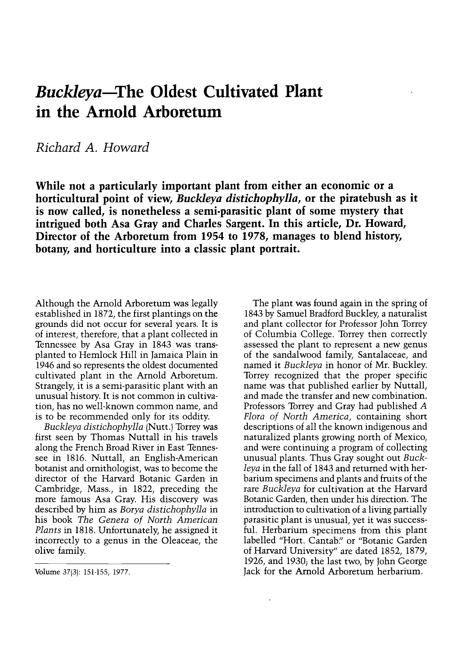## Buckleya-The Oldest Cultivated Plant in the Arnold Arboretum

Richard A. Howard

While not a particularly important plant from either an economic or a horticultural point of view, Buckleya distichophylla, or the piratebush as it is now called, is nonetheless a semi-parasitic plant of some mystery that intrigued both Asa Gray and Charles Sargent. In this article, Dr. Howard, Director of the Arboretum from 1954 to 1978, manages to blend history, botany, and horticulture into a classic plant portrait.

Although the Arnold Arboretum was legally established in 1872, the first plantings on the grounds did not occur for several years. It is of interest, therefore, that a plant collected in Tennessee by Asa Gray in 1843 was transplanted to Hemlock Hill in Jamaica Plain in 1946 and so represents the oldest documented cultivated plant in the Arnold Arboretum. Strangely, it is a semi-parasitic plant with an unusual history. It is not common in cultivation, has no well-known common name, and is to be recommended only for its oddity.

Buckleya distichophylla (Nutt.) Torrey was first seen by Thomas Nuttall in his travels along the French Broad River in East Tennessee in 1816. Nuttall, an English-American botanist and ornithologist, was to become the director of the Harvard Botanic Garden in Cambridge, Mass., in 1822, preceding the more famous Asa Gray. His discovery was described by him as Borya distichophylla in his book The Genera of North American Plants in 1818. Unfortunately, he assigned it incorrectly to a genus in the Oleaceae, the olive family.

Volume 37(3): 151-155, 1977.

The plant was found again in the spring of 1843 by Samuel Bradford Buckley, a naturalist and plant collector for Professor John Torrey of Columbia College. Torrey then correctly assessed the plant to represent a new genus of the sandalwood family, Santalaceae, and named it *Buckleya* in honor of Mr. Buckley.<br>Torrey recognized that the proper specific name was that published earlier by Nuttall, and made the transfer and new combination. Professors Torrey and Gray had published A Flora of North America, containing short descriptions of all the known indigenous and naturalized plants growing north of Mexico, and were continuing a program of collecting unusual plants. Thus Gray sought out Buckleya in the fall of 1843 and returned with herbarium specimens and plants and fruits of the rare Buckleya for cultivation at the Harvard Botanic Garden, then under his direction. The introduction to cultivation of a living partially parasitic plant is unusual, yet it was successful. Herbarium specimens from this plant labelled "Hort. Cantab." or "Botanic Garden of Harvard University" are dated 1852, 1879, 1926, and 1930; the last two, by John George Jack for the Arnold Arboretum herbarium.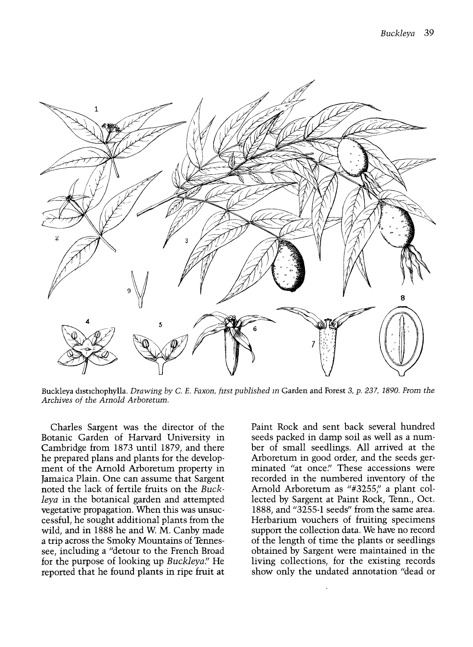

Buckleya distichophylla. Drawing by C. E. Faxon, first published in Garden and Forest 3, p. 237, 1890. From the Archives of the Arnold Arboretum.

Charles Sargent was the director of the Botanic Garden of Harvard University in Cambridge from 1873 until 1879, and there ment of the Arnold Arboretum property in Jamaica Plain. One can assume that Sargent noted the lack of fertile fruits on the Buckleya in the botanical garden and attempted vegetative propagation. When this was unsuccessful, he sought additional plants from the wild, and in 1888 he and W. M. Canby made a trip across the Smoky Mountains of Tennessee, including a "detour to the French Broad for the purpose of looking up *Buckleya*." He reported that he found plants in ripe fruit at

Paint Rock and sent back several hundred seeds packed in damp soil as well as a number of small seedlings. All arrived at the Arboretum in good order, and the seeds germinated "at once." These accessions were recorded in the numbered inventory of the Arnold Arboretum as "#3255," a plant collected by Sargent at Paint Rock, Tenn., Oct. 1888, and "3255-1 seeds" from the same area. Herbarium vouchers of fruiting specimens support the collection data. We have no record of the length of time the plants or seedlings obtained by Sargent were maintained in the living collections, for the existing records show only the undated annotation "dead or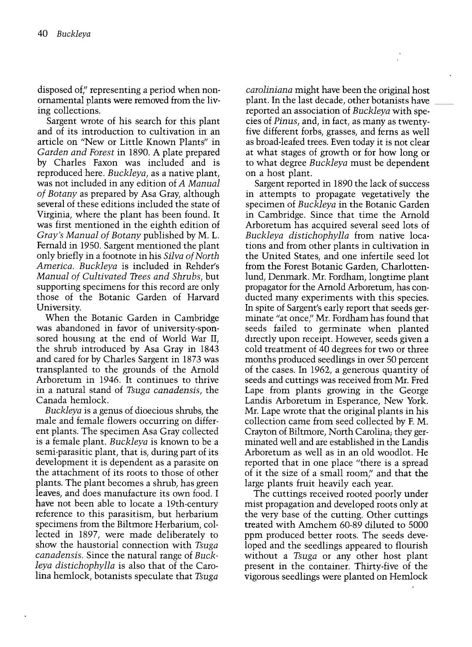disposed of," representing a period when nonornamental nlants were removed from the living collections.

Sargent wrote of his search for this plant and of its introduction to cultivation in an article on "New or Little Known Plants" in Garden and Forest in 1890. A plate prepared by Charles Faxon was included and is reproduced here. Buckleya, as a native plant, was not included in any edition of A Manual of Botany as prepared by Asa Gray, although several of these editions included the state of Virginia, where the plant has been found. It was first mentioned in the eighth edition of Gray's Manual of Botany published by M. L. Fernald in 1950. Sargent mentioned the plant only briefly in a footnote in his Silva of North America. Buckleya is included in Rehder's Manual of Cultivated Trees and Shrubs, but supporting specimens for this record are only those of the Botanic Garden of Harvard University.

When the Botanic Garden in Cambridge was abandoned in favor of university-sponsored housing at the end of World War II, the shrub introduced by Asa Gray in 1843 and cared for by Charles Sargent in 1873 was transplanted to the grounds of the Arnold Arboretum in 1946. It continues to thrive in a natural stand of Tsuga canadensis, the Canada hemlock.

Buckleya is a genus of dioecious shrubs, the male and female flowers occurring on different plants. The specimen Asa Gray collected is a female plant. Buckleya is known to be a semi-parasitic plant, that is, during part of its development it is dependent as a parasite on the attachment of its roots to those of other plants. The plant becomes a shrub, has green leaves, and does manufacture its own food. I have not been able to locate a 19th-century reference to this parasitism, but herbarium specimens from the Biltmore Herbarium, collected in 1897, were made deliberately to show the haustorial connection with Tsuga canadensis. Since the natural range of Buckleya distichophylla is also that of the Carolina hemlock, botanists speculate that Tsuga

caroliniana might have been the original host plant. In the last decade, other botanists have \_ reported an association of Buckleya with species of Pinus, and, in fact, as many as twenty five different forbs, grasses, and ferns as well as broad-leafed trees. Even today it is not clear at what stages of growth or for how long or to what degree *Buckleya* must be dependent on a host plant.

Sargent reported in 1890 the lack of success in attempts to propagate vegetatively the specimen of Buckleya in the Botanic Garden in Cambridge. Since that time the Arnold Arboretum has acquired several seed lots of Buckleya distichophylla from native locations and from other plants in cultivation in the United States, and one infertile seed lot from the Forest Botanic Garden, Charlottenlund, Denmark. Mr. Fordham, longtime plant propagator for the Arnold Arboretum, has conducted many experiments with this species. In spite of Sargent's early report that seeds germinate "at once," Mr. Fordham has found that seeds failed to germinate when planted directly upon receipt. However, seeds given a cold treatment of 40 degrees for two or three months produced seedlings in over 50 percent of the cases. In 1962, a generous quantity of seeds and cuttings was received from Mr. Fred Lape from plants growing in the George Landis Arboretum in Esperance, New York. Mr. Lape wrote that the original plants in his collection came from seed collected by F. M. Crayton of Biltmore, North Carolina; they germinated well and are established in the Landis Arboretum as well as in an old woodlot. He reported that in one place "there is a spread of it the size of a small room," and that the large plants fruit heavily each year.

The cuttings received rooted poorly under mist propagation and developed roots only at the very base of the cutting. Other cuttings treated with Amchem 60-89 diluted to 5000 ppm produced better roots. The seeds developed and the seedlings appeared to flourish without a Tsuga or any other host plant present in the container. Thirty-five of the vigorous seedlings were planted on Hemlock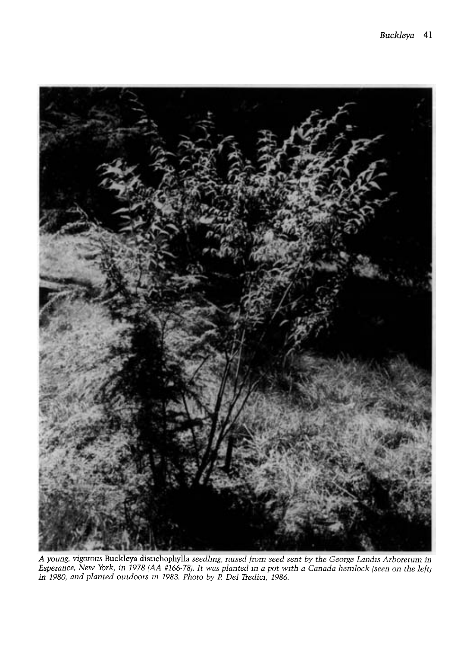

A young, vigorous Buckleya distichophylla seedlmg, raised from seed sent by the George Landis Arboretum in Esperance, New York, in 1978 (AA #166-78). It was planted m a pot with a Canada hemlock (seen on the left) in 1980, and planted outdoors in 1983. Photo by P. Del Tredici, 1986.